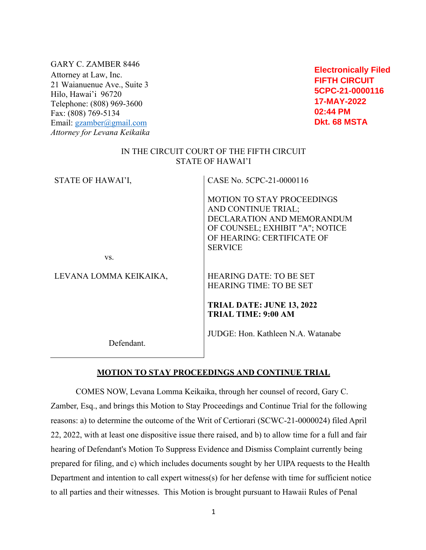GARY C. ZAMBER 8446 Attorney at Law, Inc. 21 Waianuenue Ave., Suite 3 Hilo, Hawai'i 96720 Telephone: (808) 969-3600 Fax: (808) 769-5134 Email: gzamber@gmail.com *Attorney for Levana Keikaika*

**Electronically Filed FIFTH CIRCUIT 5CPC-21-0000116 17-MAY-2022 02:44 PM Dkt. 68 MSTA**

# IN THE CIRCUIT COURT OF THE FIFTH CIRCUIT STATE OF HAWAI'I

| STATE OF HAWAI'I,      | CASE No. 5CPC-21-0000116                                                                                                                                                  |
|------------------------|---------------------------------------------------------------------------------------------------------------------------------------------------------------------------|
|                        | <b>MOTION TO STAY PROCEEDINGS</b><br>AND CONTINUE TRIAL;<br>DECLARATION AND MEMORANDUM<br>OF COUNSEL; EXHIBIT "A"; NOTICE<br>OF HEARING: CERTIFICATE OF<br><b>SERVICE</b> |
| VS.                    |                                                                                                                                                                           |
| LEVANA LOMMA KEIKAIKA, | <b>HEARING DATE: TO BE SET</b><br><b>HEARING TIME: TO BE SET</b>                                                                                                          |
|                        | TRIAL DATE: JUNE 13, 2022<br><b>TRIAL TIME: 9:00 AM</b>                                                                                                                   |
|                        | JUDGE: Hon. Kathleen N.A. Watanabe                                                                                                                                        |

Defendant.

### **MOTION TO STAY PROCEEDINGS AND CONTINUE TRIAL**

COMES NOW, Levana Lomma Keikaika, through her counsel of record, Gary C. Zamber, Esq., and brings this Motion to Stay Proceedings and Continue Trial for the following reasons: a) to determine the outcome of the Writ of Certiorari (SCWC-21-0000024) filed April 22, 2022, with at least one dispositive issue there raised, and b) to allow time for a full and fair hearing of Defendant's Motion To Suppress Evidence and Dismiss Complaint currently being prepared for filing, and c) which includes documents sought by her UIPA requests to the Health Department and intention to call expert witness(s) for her defense with time for sufficient notice to all parties and their witnesses. This Motion is brought pursuant to Hawaii Rules of Penal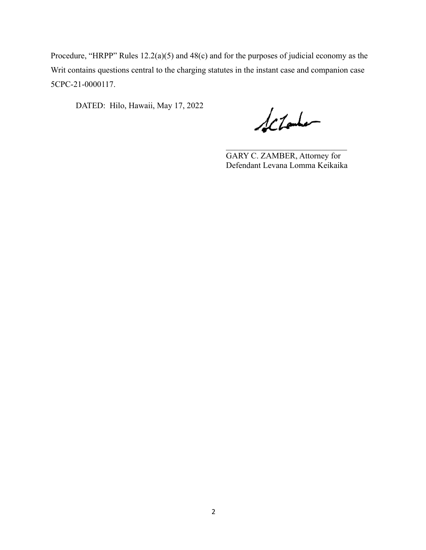Procedure, "HRPP" Rules 12.2(a)(5) and 48(c) and for the purposes of judicial economy as the Writ contains questions central to the charging statutes in the instant case and companion case 5CPC-21-0000117.

DATED: Hilo, Hawaii, May 17, 2022

Schooler

GARY C. ZAMBER, Attorney for Defendant Levana Lomma Keikaika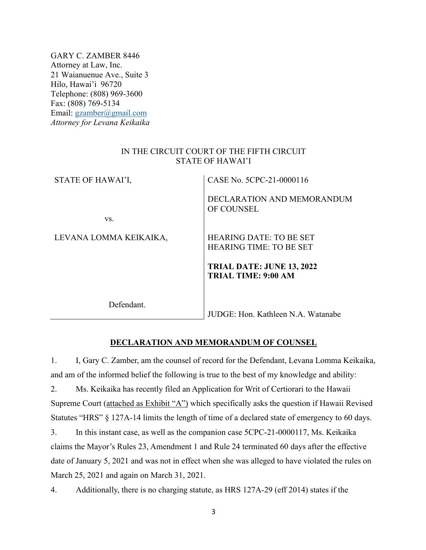GARY C. ZAMBER 8446 Attorney at Law, Inc. 21 Waianuenue Ave., Suite 3 Hilo, Hawai'i 96720 Telephone: (808) 969-3600 Fax: (808) 769-5134 Email: gzamber@gmail.com *Attorney for Levana Keikaika*

### IN THE CIRCUIT COURT OF THE FIFTH CIRCUIT STATE OF HAWAI'I

| STATE OF HAWAI'I,      | CASE No. 5CPC-21-0000116                                       |
|------------------------|----------------------------------------------------------------|
| VS.                    | DECLARATION AND MEMORANDUM<br>OF COUNSEL                       |
|                        |                                                                |
| LEVANA LOMMA KEIKAIKA, | <b>HEARING DATE: TO BE SET</b>                                 |
|                        | <b>HEARING TIME: TO BE SET</b>                                 |
|                        | <b>TRIAL DATE: JUNE 13, 2022</b><br><b>TRIAL TIME: 9:00 AM</b> |
| Defendant.             | JUDGE: Hon. Kathleen N.A. Watanabe                             |

# **DECLARATION AND MEMORANDUM OF COUNSEL**

1. I, Gary C. Zamber, am the counsel of record for the Defendant, Levana Lomma Keikaika, and am of the informed belief the following is true to the best of my knowledge and ability:

2. Ms. Keikaika has recently filed an Application for Writ of Certiorari to the Hawaii Supreme Court (attached as Exhibit "A") which specifically asks the question if Hawaii Revised Statutes "HRS" § 127A-14 limits the length of time of a declared state of emergency to 60 days.

3. In this instant case, as well as the companion case 5CPC-21-0000117, Ms. Keikaika claims the Mayor's Rules 23, Amendment 1 and Rule 24 terminated 60 days after the effective date of January 5, 2021 and was not in effect when she was alleged to have violated the rules on March 25, 2021 and again on March 31, 2021.

4. Additionally, there is no charging statute, as HRS 127A-29 (eff 2014) states if the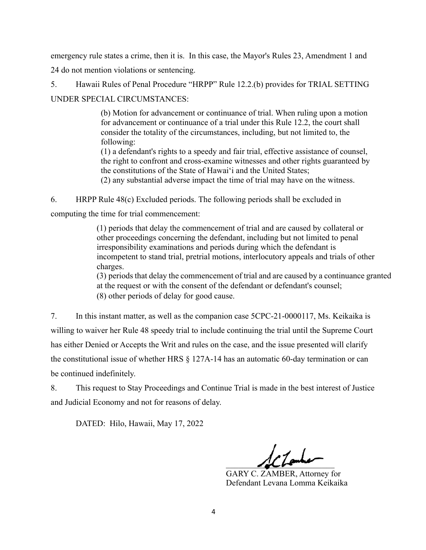emergency rule states a crime, then it is. In this case, the Mayor's Rules 23, Amendment 1 and

24 do not mention violations or sentencing.

5. Hawaii Rules of Penal Procedure "HRPP" Rule 12.2.(b) provides for TRIAL SETTING UNDER SPECIAL CIRCUMSTANCES:

> (b) Motion for advancement or continuance of trial. When ruling upon a motion for advancement or continuance of a trial under this Rule 12.2, the court shall consider the totality of the circumstances, including, but not limited to, the following:

> (1) a defendant's rights to a speedy and fair trial, effective assistance of counsel, the right to confront and cross-examine witnesses and other rights guaranteed by the constitutions of the State of Hawai'i and the United States;

(2) any substantial adverse impact the time of trial may have on the witness.

6. HRPP Rule 48(c) Excluded periods. The following periods shall be excluded in computing the time for trial commencement:

(1) periods that delay the commencement of trial and are caused by collateral or other proceedings concerning the defendant, including but not limited to penal

irresponsibility examinations and periods during which the defendant is incompetent to stand trial, pretrial motions, interlocutory appeals and trials of other charges.

(3) periods that delay the commencement of trial and are caused by a continuance granted at the request or with the consent of the defendant or defendant's counsel; (8) other periods of delay for good cause.

7. In this instant matter, as well as the companion case 5CPC-21-0000117, Ms. Keikaika is willing to waiver her Rule 48 speedy trial to include continuing the trial until the Supreme Court has either Denied or Accepts the Writ and rules on the case, and the issue presented will clarify the constitutional issue of whether HRS § 127A-14 has an automatic 60-day termination or can be continued indefinitely.

8. This request to Stay Proceedings and Continue Trial is made in the best interest of Justice and Judicial Economy and not for reasons of delay.

DATED: Hilo, Hawaii, May 17, 2022

 $\frac{1}{2}$ 

GARY C. ZAMBER, Attorney for Defendant Levana Lomma Keikaika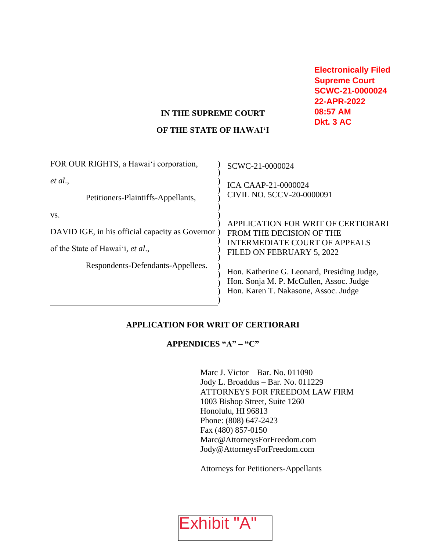**Electronically Filed Supreme Court SCWC-21-0000024 22-APR-2022 08:57 AM Dkt. 3 AC**

### **IN THE SUPREME COURT**

### **OF THE STATE OF HAWAI'I**

| FOR OUR RIGHTS, a Hawai'i corporation,           | SCWC-21-0000024                                                                                                                |
|--------------------------------------------------|--------------------------------------------------------------------------------------------------------------------------------|
| et al.,<br>Petitioners-Plaintiffs-Appellants,    | <b>ICA CAAP-21-0000024</b><br>CIVIL NO. 5CCV-20-0000091                                                                        |
| VS.                                              |                                                                                                                                |
| DAVID IGE, in his official capacity as Governor) | APPLICATION FOR WRIT OF CERTIORARI<br>FROM THE DECISION OF THE<br><b>INTERMEDIATE COURT OF APPEALS</b>                         |
| of the State of Hawai'i, et al.,                 | FILED ON FEBRUARY 5, 2022                                                                                                      |
| Respondents-Defendants-Appellees.                | Hon. Katherine G. Leonard, Presiding Judge,<br>Hon. Sonja M. P. McCullen, Assoc. Judge<br>Hon. Karen T. Nakasone, Assoc. Judge |

### **APPLICATION FOR WRIT OF CERTIORARI**

# **APPENDICES "A" – "C"**

Marc J. Victor – Bar. No. 011090 Jody L. Broaddus – Bar. No. 011229 ATTORNEYS FOR FREEDOM LAW FIRM 1003 Bishop Street, Suite 1260 Honolulu, HI 96813 Phone: (808) 647-2423 Fax (480) 857-0150 Marc@AttorneysForFreedom.com [Jody@AttorneysForFreedom.com](mailto:Jody@AttorneysForFreedom.com)

Attorneys for Petitioners-Appellants

Exhibit "A"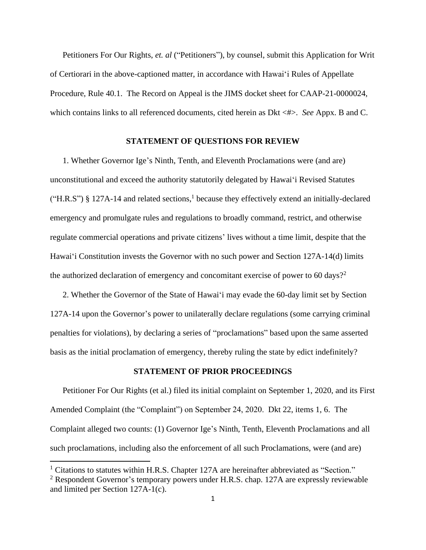Petitioners For Our Rights, *et. al* ("Petitioners"), by counsel, submit this Application for Writ of Certiorari in the above-captioned matter, in accordance with Hawai'i Rules of Appellate Procedure, Rule 40.1. The Record on Appeal is the JIMS docket sheet for CAAP-21-0000024, which contains links to all referenced documents, cited herein as Dkt <#>. *See* Appx. B and C.

### **STATEMENT OF QUESTIONS FOR REVIEW**

1. Whether Governor Ige's Ninth, Tenth, and Eleventh Proclamations were (and are) unconstitutional and exceed the authority statutorily delegated by Hawai'i Revised Statutes ("H.R.S") § 127A-14 and related sections, 1 because they effectively extend an initially-declared emergency and promulgate rules and regulations to broadly command, restrict, and otherwise regulate commercial operations and private citizens' lives without a time limit, despite that the Hawai'i Constitution invests the Governor with no such power and Section 127A-14(d) limits the authorized declaration of emergency and concomitant exercise of power to 60 days?<sup>2</sup>

2. Whether the Governor of the State of Hawai'i may evade the 60-day limit set by Section 127A-14 upon the Governor's power to unilaterally declare regulations (some carrying criminal penalties for violations), by declaring a series of "proclamations" based upon the same asserted basis as the initial proclamation of emergency, thereby ruling the state by edict indefinitely?

### **STATEMENT OF PRIOR PROCEEDINGS**

Petitioner For Our Rights (et al.) filed its initial complaint on September 1, 2020, and its First Amended Complaint (the "Complaint") on September 24, 2020. Dkt 22, items 1, 6. The Complaint alleged two counts: (1) Governor Ige's Ninth, Tenth, Eleventh Proclamations and all such proclamations, including also the enforcement of all such Proclamations, were (and are)

 $<sup>1</sup>$  Citations to statutes within H.R.S. Chapter 127A are hereinafter abbreviated as "Section."</sup>

<sup>&</sup>lt;sup>2</sup> Respondent Governor's temporary powers under H.R.S. chap. 127A are expressly reviewable and limited per Section 127A-1(c).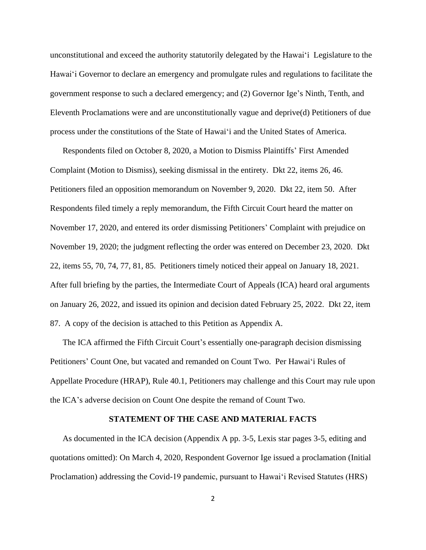unconstitutional and exceed the authority statutorily delegated by the Hawaiʻi Legislature to the Hawaiʻi Governor to declare an emergency and promulgate rules and regulations to facilitate the government response to such a declared emergency; and (2) Governor Ige's Ninth, Tenth, and Eleventh Proclamations were and are unconstitutionally vague and deprive(d) Petitioners of due process under the constitutions of the State of Hawaiʻi and the United States of America.

Respondents filed on October 8, 2020, a Motion to Dismiss Plaintiffs' First Amended Complaint (Motion to Dismiss), seeking dismissal in the entirety. Dkt 22, items 26, 46. Petitioners filed an opposition memorandum on November 9, 2020. Dkt 22, item 50. After Respondents filed timely a reply memorandum, the Fifth Circuit Court heard the matter on November 17, 2020, and entered its order dismissing Petitioners' Complaint with prejudice on November 19, 2020; the judgment reflecting the order was entered on December 23, 2020. Dkt 22, items 55, 70, 74, 77, 81, 85. Petitioners timely noticed their appeal on January 18, 2021. After full briefing by the parties, the Intermediate Court of Appeals (ICA) heard oral arguments on January 26, 2022, and issued its opinion and decision dated February 25, 2022. Dkt 22, item 87. A copy of the decision is attached to this Petition as Appendix A.

The ICA affirmed the Fifth Circuit Court's essentially one-paragraph decision dismissing Petitioners' Count One, but vacated and remanded on Count Two. Per Hawai'i Rules of Appellate Procedure (HRAP), Rule 40.1, Petitioners may challenge and this Court may rule upon the ICA's adverse decision on Count One despite the remand of Count Two.

#### **STATEMENT OF THE CASE AND MATERIAL FACTS**

As documented in the ICA decision (Appendix A pp. 3-5, Lexis star pages 3-5, editing and quotations omitted): On March 4, 2020, Respondent Governor Ige issued a proclamation (Initial Proclamation) addressing the Covid-19 pandemic, pursuant to Hawaiʻi Revised Statutes (HRS)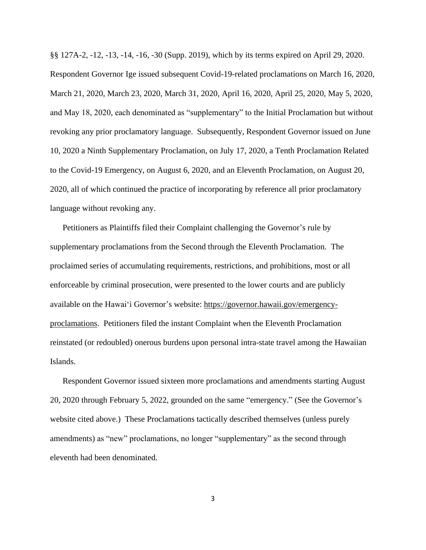§§ 127A-2, -12, -13, -14, -16, -30 (Supp. 2019), which by its terms expired on April 29, 2020. Respondent Governor Ige issued subsequent Covid-19-related proclamations on March 16, 2020, March 21, 2020, March 23, 2020, March 31, 2020, April 16, 2020, April 25, 2020, May 5, 2020, and May 18, 2020, each denominated as "supplementary" to the Initial Proclamation but without revoking any prior proclamatory language. Subsequently, Respondent Governor issued on June 10, 2020 a Ninth Supplementary Proclamation, on July 17, 2020, a Tenth Proclamation Related to the Covid-19 Emergency, on August 6, 2020, and an Eleventh Proclamation, on August 20, 2020, all of which continued the practice of incorporating by reference all prior proclamatory language without revoking any.

Petitioners as Plaintiffs filed their Complaint challenging the Governor's rule by supplementary proclamations from the Second through the Eleventh Proclamation. The proclaimed series of accumulating requirements, restrictions, and prohibitions, most or all enforceable by criminal prosecution, were presented to the lower courts and are publicly available on the Hawai'i Governor's website: [https://governor.hawaii.gov/emergency](https://governor.hawaii.gov/emergency-proclamations)[proclamations.](https://governor.hawaii.gov/emergency-proclamations) Petitioners filed the instant Complaint when the Eleventh Proclamation reinstated (or redoubled) onerous burdens upon personal intra-state travel among the Hawaiian Islands.

Respondent Governor issued sixteen more proclamations and amendments starting August 20, 2020 through February 5, 2022, grounded on the same "emergency." (See the Governor's website cited above.) These Proclamations tactically described themselves (unless purely amendments) as "new" proclamations, no longer "supplementary" as the second through eleventh had been denominated.

3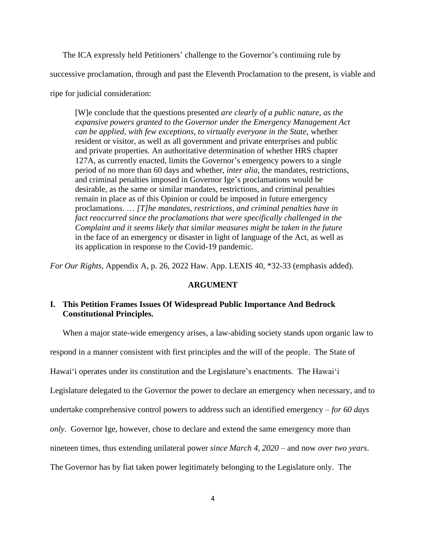The ICA expressly held Petitioners' challenge to the Governor's continuing rule by

successive proclamation, through and past the Eleventh Proclamation to the present, is viable and

ripe for judicial consideration:

[W]e conclude that the questions presented *are clearly of a public nature, as the expansive powers granted to the Governor under the Emergency Management Act can be applied, with few exceptions, to virtually everyone in the State*, whether resident or visitor, as well as all government and private enterprises and public and private properties. An authoritative determination of whether HRS chapter 127A, as currently enacted, limits the Governor's emergency powers to a single period of no more than 60 days and whether, *inter alia*, the mandates, restrictions, and criminal penalties imposed in Governor Ige's proclamations would be desirable, as the same or similar mandates, restrictions, and criminal penalties remain in place as of this Opinion or could be imposed in future emergency proclamations. … *[T]he mandates, restrictions, and criminal penalties have in fact reoccurred since the proclamations that were specifically challenged in the Complaint and it seems likely that similar measures might be taken in the future* in the face of an emergency or disaster in light of language of the Act, as well as its application in response to the Covid-19 pandemic.

*For Our Rights*, Appendix A, p. 26, 2022 Haw. App. LEXIS 40, \*32-33 (emphasis added).

#### **ARGUMENT**

### **I. This Petition Frames Issues Of Widespread Public Importance And Bedrock Constitutional Principles.**

When a major state-wide emergency arises, a law-abiding society stands upon organic law to

respond in a manner consistent with first principles and the will of the people. The State of

Hawaiʻi operates under its constitution and the Legislature's enactments. The Hawai'i

Legislature delegated to the Governor the power to declare an emergency when necessary, and to

undertake comprehensive control powers to address such an identified emergency – *for 60 days* 

*only*. Governor Ige, however, chose to declare and extend the same emergency more than

nineteen times, thus extending unilateral power *since March 4, 2020* – and now *over two years*.

The Governor has by fiat taken power legitimately belonging to the Legislature only. The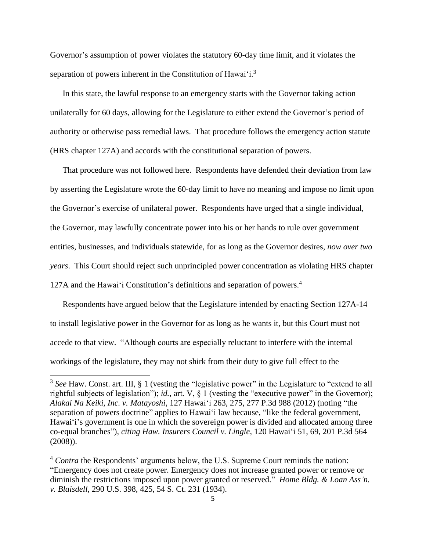Governor's assumption of power violates the statutory 60-day time limit, and it violates the separation of powers inherent in the Constitution of Hawai'i.<sup>3</sup>

In this state, the lawful response to an emergency starts with the Governor taking action unilaterally for 60 days, allowing for the Legislature to either extend the Governor's period of authority or otherwise pass remedial laws. That procedure follows the emergency action statute (HRS chapter 127A) and accords with the constitutional separation of powers.

That procedure was not followed here. Respondents have defended their deviation from law by asserting the Legislature wrote the 60-day limit to have no meaning and impose no limit upon the Governor's exercise of unilateral power. Respondents have urged that a single individual, the Governor, may lawfully concentrate power into his or her hands to rule over government entities, businesses, and individuals statewide, for as long as the Governor desires, *now over two years*. This Court should reject such unprincipled power concentration as violating HRS chapter 127A and the Hawai'i Constitution's definitions and separation of powers. 4

Respondents have argued below that the Legislature intended by enacting Section 127A-14 to install legislative power in the Governor for as long as he wants it, but this Court must not accede to that view. "Although courts are especially reluctant to interfere with the internal workings of the legislature, they may not shirk from their duty to give full effect to the

<sup>&</sup>lt;sup>3</sup> See Haw. Const. art. III, § 1 (vesting the "legislative power" in the Legislature to "extend to all rightful subjects of legislation"); *id.,* art. V, § 1 (vesting the "executive power" in the Governor); *Alakai Na Keiki, Inc. v. Matayoshi*, 127 Hawai'i 263, 275, 277 P.3d 988 (2012) (noting "the separation of powers doctrine" applies to Hawai'i law because, "like the federal government, Hawai'i's government is one in which the sovereign power is divided and allocated among three co-equal branches"), *citing Haw. Insurers Council v. Lingle*, 120 Hawai'i 51, 69, 201 P.3d 564 (2008)).

<sup>&</sup>lt;sup>4</sup> *Contra* the Respondents' arguments below, the U.S. Supreme Court reminds the nation: "Emergency does not create power. Emergency does not increase granted power or remove or diminish the restrictions imposed upon power granted or reserved." *Home Bldg. & Loan Ass'n. v. Blaisdell*, 290 U.S. 398, 425, 54 S. Ct. 231 (1934).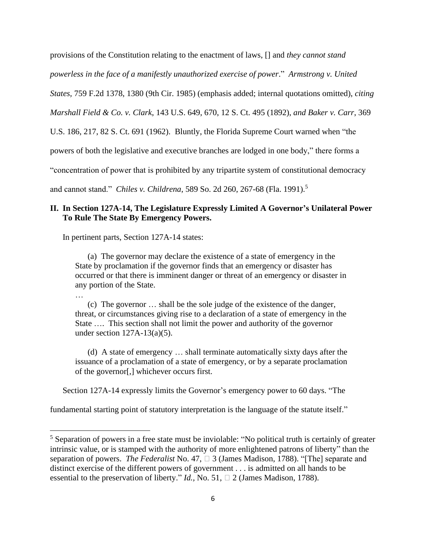provisions of the Constitution relating to the enactment of laws, [] and *they cannot stand powerless in the face of a manifestly unauthorized exercise of power*." *Armstrong v. United States,* 759 F.2d 1378, 1380 (9th Cir. 1985) (emphasis added; internal quotations omitted), *citing Marshall Field & Co. v. Clark*, 143 U.S. 649, 670, 12 S. Ct. 495 (1892), *and Baker v. Carr*, 369 U.S. 186, 217, 82 S. Ct. 691 (1962). Bluntly, the Florida Supreme Court warned when "the powers of both the legislative and executive branches are lodged in one body," there forms a "concentration of power that is prohibited by any tripartite system of constitutional democracy

and cannot stand." *Chiles v. Childrena*, 589 So. 2d 260, 267-68 (Fla. 1991).<sup>5</sup>

# **II. In Section 127A-14, The Legislature Expressly Limited A Governor's Unilateral Power To Rule The State By Emergency Powers.**

In pertinent parts, Section 127A-14 states:

…

(a) The governor may declare the existence of a state of emergency in the State by proclamation if the governor finds that an emergency or disaster has occurred or that there is imminent danger or threat of an emergency or disaster in any portion of the State.

 (c) The governor … shall be the sole judge of the existence of the danger, threat, or circumstances giving rise to a declaration of a state of emergency in the State …. This section shall not limit the power and authority of the governor under section  $127A-13(a)(5)$ .

 (d) A state of emergency … shall terminate automatically sixty days after the issuance of a proclamation of a state of emergency, or by a separate proclamation of the governor[,] whichever occurs first.

Section 127A-14 expressly limits the Governor's emergency power to 60 days. "The

fundamental starting point of statutory interpretation is the language of the statute itself."

<sup>&</sup>lt;sup>5</sup> Separation of powers in a free state must be inviolable: "No political truth is certainly of greater intrinsic value, or is stamped with the authority of more enlightened patrons of liberty" than the separation of powers. *The Federalist* No. 47,  $\Box$  3 (James Madison, 1788). "[The] separate and distinct exercise of the different powers of government . . . is admitted on all hands to be essential to the preservation of liberty." *Id.*, No. 51,  $\Box$  2 (James Madison, 1788).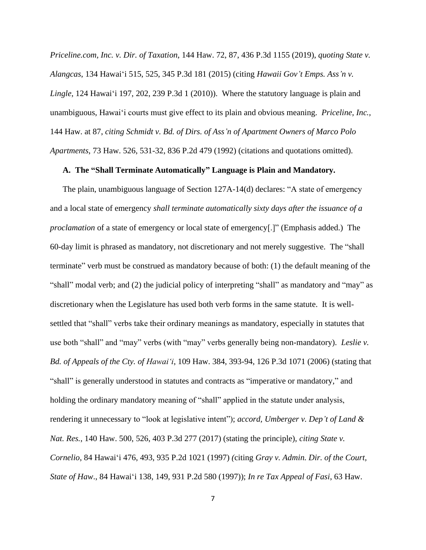*Priceline.com, Inc. v. Dir. of Taxation*, 144 Haw. 72, 87, 436 P.3d 1155 (2019), *quoting State v. Alangcas*, 134 Hawaiʻi 515, 525, 345 P.3d 181 (2015) (citing *Hawaii Gov't Emps. Ass'n v. Lingle*, 124 Hawaiʻi 197, 202, 239 P.3d 1 (2010)). Where the statutory language is plain and unambiguous, Hawaiʻi courts must give effect to its plain and obvious meaning. *Priceline, Inc.,* 144 Haw. at 87, *citing Schmidt v. Bd. of Dirs. of Ass'n of Apartment Owners of Marco Polo Apartments*, 73 Haw. 526, 531-32, 836 P.2d 479 (1992) (citations and quotations omitted).

#### **A. The "Shall Terminate Automatically" Language is Plain and Mandatory.**

The plain, unambiguous language of Section 127A-14(d) declares: "A state of emergency and a local state of emergency *shall terminate automatically sixty days after the issuance of a proclamation* of a state of emergency or local state of emergency[.]" (Emphasis added.) The 60-day limit is phrased as mandatory, not discretionary and not merely suggestive. The "shall terminate" verb must be construed as mandatory because of both: (1) the default meaning of the "shall" modal verb; and (2) the judicial policy of interpreting "shall" as mandatory and "may" as discretionary when the Legislature has used both verb forms in the same statute. It is wellsettled that "shall" verbs take their ordinary meanings as mandatory, especially in statutes that use both "shall" and "may" verbs (with "may" verbs generally being non-mandatory). *Leslie v. Bd. of Appeals of the Cty. of Hawai'i*, 109 Haw. 384, 393-94, 126 P.3d 1071 (2006) (stating that "shall" is generally understood in statutes and contracts as "imperative or mandatory," and holding the ordinary mandatory meaning of "shall" applied in the statute under analysis, rendering it unnecessary to "look at legislative intent"); *accord, Umberger v. Dep't of Land & Nat. Res.*, 140 Haw. 500, 526, 403 P.3d 277 (2017) (stating the principle), *citing State v. Cornelio*, 84 Hawaiʻi 476, 493, 935 P.2d 1021 (1997) *(*citing *Gray v. Admin. Dir. of the Court, State of Haw*., 84 Hawaiʻi 138, 149, 931 P.2d 580 (1997)); *In re Tax Appeal of Fasi*, 63 Haw.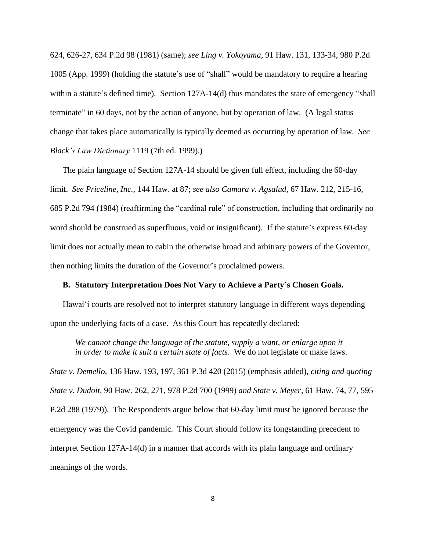624, 626-27, 634 P.2d 98 (1981) (same); *see Ling v. Yokoyama*, 91 Haw. 131, 133-34, 980 P.2d 1005 (App. 1999) (holding the statute's use of "shall" would be mandatory to require a hearing within a statute's defined time). Section 127A-14(d) thus mandates the state of emergency "shall terminate" in 60 days, not by the action of anyone, but by operation of law. (A legal status change that takes place automatically is typically deemed as occurring by operation of law. *See Black's Law Dictionary* 1119 (7th ed. 1999).)

The plain language of Section 127A-14 should be given full effect, including the 60-day limit. *See Priceline, Inc.,* 144 Haw. at 87; *see also Camara v. Agsalud*, 67 Haw. 212, 215-16, 685 P.2d 794 (1984) (reaffirming the "cardinal rule" of construction, including that ordinarily no word should be construed as superfluous, void or insignificant). If the statute's express 60-day limit does not actually mean to cabin the otherwise broad and arbitrary powers of the Governor, then nothing limits the duration of the Governor's proclaimed powers.

### **B. Statutory Interpretation Does Not Vary to Achieve a Party's Chosen Goals.**

Hawai'i courts are resolved not to interpret statutory language in different ways depending upon the underlying facts of a case. As this Court has repeatedly declared:

*We cannot change the language of the statute, supply a want, or enlarge upon it in order to make it suit a certain state of facts*. We do not legislate or make laws.

*State v. Demello*, 136 Haw. 193, 197, 361 P.3d 420 (2015) (emphasis added), *citing and quoting State v. Dudoit*, 90 Haw. 262, 271, 978 P.2d 700 (1999) *and State v. Meyer*, 61 Haw. 74, 77, 595 P.2d 288 (1979)). The Respondents argue below that 60-day limit must be ignored because the emergency was the Covid pandemic. This Court should follow its longstanding precedent to interpret Section 127A-14(d) in a manner that accords with its plain language and ordinary meanings of the words.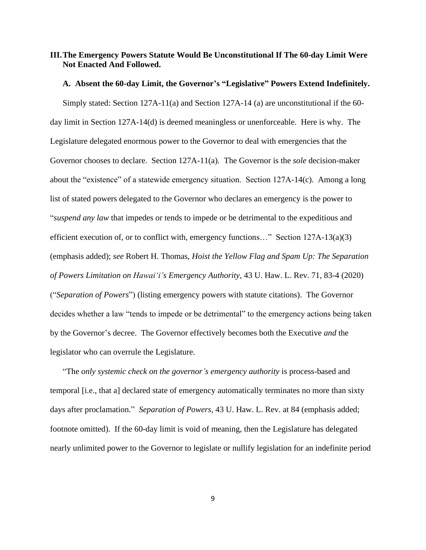### **III.The Emergency Powers Statute Would Be Unconstitutional If The 60-day Limit Were Not Enacted And Followed.**

### **A. Absent the 60-day Limit, the Governor's "Legislative" Powers Extend Indefinitely.**

Simply stated: Section 127A-11(a) and Section 127A-14 (a) are unconstitutional if the 60 day limit in Section 127A-14(d) is deemed meaningless or unenforceable. Here is why. The Legislature delegated enormous power to the Governor to deal with emergencies that the Governor chooses to declare. Section 127A-11(a). The Governor is the *sole* decision-maker about the "existence" of a statewide emergency situation. Section 127A-14(c). Among a long list of stated powers delegated to the Governor who declares an emergency is the power to "*suspend any law* that impedes or tends to impede or be detrimental to the expeditious and efficient execution of, or to conflict with, emergency functions…" Section 127A-13(a)(3) (emphasis added); *see* Robert H. Thomas, *Hoist the Yellow Flag and Spam Up: The Separation of Powers Limitation on Hawai'i's Emergency Authority*, 43 U. Haw. L. Rev. 71, 83-4 (2020) ("*Separation of Powers*") (listing emergency powers with statute citations). The Governor decides whether a law "tends to impede or be detrimental" to the emergency actions being taken by the Governor's decree. The Governor effectively becomes both the Executive *and* the legislator who can overrule the Legislature.

"The *only systemic check on the governor's emergency authority* is process-based and temporal [i.e., that a] declared state of emergency automatically terminates no more than sixty days after proclamation." *Separation of Powers*, 43 U. Haw. L. Rev. at 84 (emphasis added; footnote omitted). If the 60-day limit is void of meaning, then the Legislature has delegated nearly unlimited power to the Governor to legislate or nullify legislation for an indefinite period

9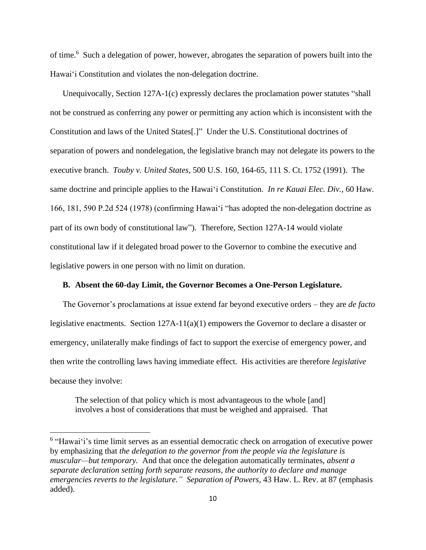of time.<sup>6</sup> Such a delegation of power, however, abrogates the separation of powers built into the Hawai'i Constitution and violates the non-delegation doctrine.

Unequivocally, Section 127A-1(c) expressly declares the proclamation power statutes "shall not be construed as conferring any power or permitting any action which is inconsistent with the Constitution and laws of the United States[.]" Under the U.S. Constitutional doctrines of separation of powers and nondelegation, the legislative branch may not delegate its powers to the executive branch. *Touby v. United States*, 500 U.S. 160, 164-65, 111 S. Ct. 1752 (1991). The same doctrine and principle applies to the Hawaiʻi Constitution. *In re Kauai Elec. Div.,* 60 Haw. 166, 181, 590 P.2d 524 (1978) (confirming Hawaiʻi "has adopted the non-delegation doctrine as part of its own body of constitutional law"). Therefore, Section 127A-14 would violate constitutional law if it delegated broad power to the Governor to combine the executive and legislative powers in one person with no limit on duration.

### **B. Absent the 60-day Limit, the Governor Becomes a One-Person Legislature.**

The Governor's proclamations at issue extend far beyond executive orders – they are *de facto* legislative enactments. Section 127A-11(a)(1) empowers the Governor to declare a disaster or emergency, unilaterally make findings of fact to support the exercise of emergency power, and then write the controlling laws having immediate effect. His activities are therefore *legislative* because they involve:

The selection of that policy which is most advantageous to the whole [and] involves a host of considerations that must be weighed and appraised. That

<sup>&</sup>lt;sup>6</sup> "Hawai'i's time limit serves as an essential democratic check on arrogation of executive power by emphasizing that *the delegation to the governor from the people via the legislature is muscular—but temporary.* And that once the delegation automatically terminates, *absent a separate declaration setting forth separate reasons, the authority to declare and manage emergencies reverts to the legislature." Separation of Powers,* 43 Haw. L. Rev. at 87 (emphasis added).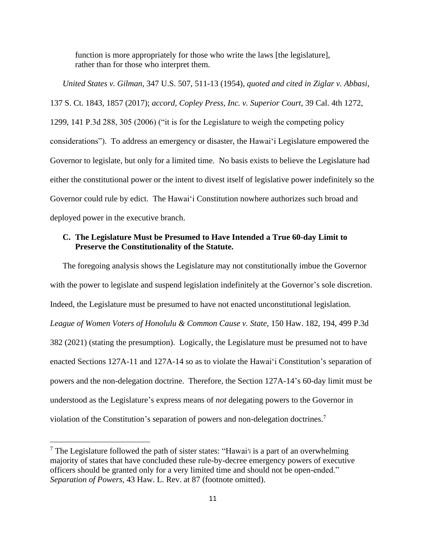function is more appropriately for those who write the laws [the legislature], rather than for those who interpret them.

*United States v. Gilman*, 347 U.S. 507, 511-13 (1954), *quoted and cited in Ziglar v. Abbasi*, 137 S. Ct. 1843, 1857 (2017); *accord, Copley Press, Inc. v. Superior Court*, 39 Cal. 4th 1272, 1299, 141 P.3d 288, 305 (2006) ("it is for the Legislature to weigh the competing policy considerations"). To address an emergency or disaster, the Hawai'i Legislature empowered the Governor to legislate, but only for a limited time. No basis exists to believe the Legislature had either the constitutional power or the intent to divest itself of legislative power indefinitely so the Governor could rule by edict. The Hawai'i Constitution nowhere authorizes such broad and deployed power in the executive branch.

### **C. The Legislature Must be Presumed to Have Intended a True 60-day Limit to Preserve the Constitutionality of the Statute.**

The foregoing analysis shows the Legislature may not constitutionally imbue the Governor with the power to legislate and suspend legislation indefinitely at the Governor's sole discretion. Indeed, the Legislature must be presumed to have not enacted unconstitutional legislation. *League of Women Voters of Honolulu & Common Cause v. State*, 150 Haw. 182, 194, 499 P.3d 382 (2021) (stating the presumption). Logically, the Legislature must be presumed not to have enacted Sections 127A-11 and 127A-14 so as to violate the Hawai'i Constitution's separation of powers and the non-delegation doctrine. Therefore, the Section 127A-14's 60-day limit must be understood as the Legislature's express means of *not* delegating powers to the Governor in violation of the Constitution's separation of powers and non-delegation doctrines.<sup>7</sup>

 $<sup>7</sup>$  The Legislature followed the path of sister states: "Hawai'i is a part of an overwhelming</sup> majority of states that have concluded these rule-by-decree emergency powers of executive officers should be granted only for a very limited time and should not be open-ended." *Separation of Powers,* 43 Haw. L. Rev. at 87 (footnote omitted).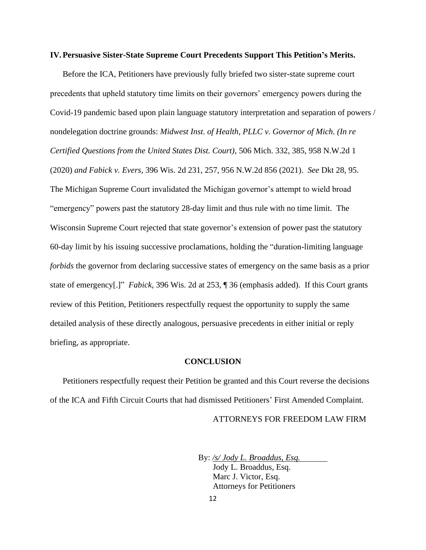#### **IV.Persuasive Sister-State Supreme Court Precedents Support This Petition's Merits.**

Before the ICA, Petitioners have previously fully briefed two sister-state supreme court precedents that upheld statutory time limits on their governors' emergency powers during the Covid-19 pandemic based upon plain language statutory interpretation and separation of powers / nondelegation doctrine grounds: *Midwest Inst. of Health, PLLC v. Governor of Mich. (In re Certified Questions from the United States Dist. Court)*, 506 Mich. 332, 385, 958 N.W.2d 1 (2020) *and Fabick v. Evers*, 396 Wis. 2d 231, 257, 956 N.W.2d 856 (2021). *See* Dkt 28, 95. The Michigan Supreme Court invalidated the Michigan governor's attempt to wield broad "emergency" powers past the statutory 28-day limit and thus rule with no time limit. The Wisconsin Supreme Court rejected that state governor's extension of power past the statutory 60-day limit by his issuing successive proclamations, holding the "duration-limiting language *forbids* the governor from declaring successive states of emergency on the same basis as a prior state of emergency[.]" *Fabick*, 396 Wis. 2d at 253, ¶ 36 (emphasis added). If this Court grants review of this Petition, Petitioners respectfully request the opportunity to supply the same detailed analysis of these directly analogous, persuasive precedents in either initial or reply briefing, as appropriate.

#### **CONCLUSION**

Petitioners respectfully request their Petition be granted and this Court reverse the decisions of the ICA and Fifth Circuit Courts that had dismissed Petitioners' First Amended Complaint.

ATTORNEYS FOR FREEDOM LAW FIRM

 By: */s/ Jody L. Broaddus, Esq.*  Jody L. Broaddus, Esq. Marc J. Victor, Esq. Attorneys for Petitioners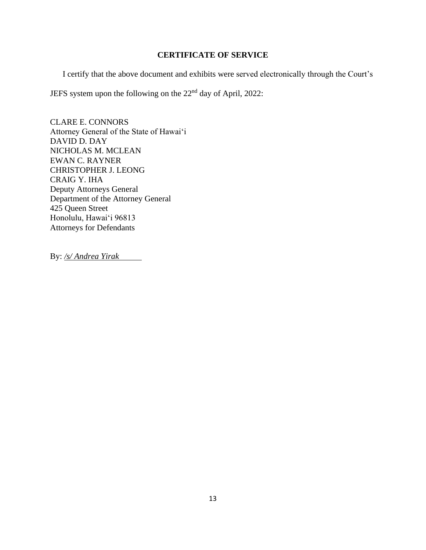# **CERTIFICATE OF SERVICE**

I certify that the above document and exhibits were served electronically through the Court's

JEFS system upon the following on the 22nd day of April, 2022:

CLARE E. CONNORS Attorney General of the State of Hawai'i DAVID D. DAY NICHOLAS M. MCLEAN EWAN C. RAYNER CHRISTOPHER J. LEONG CRAIG Y. IHA Deputy Attorneys General Department of the Attorney General 425 Queen Street Honolulu, Hawai'i 96813 Attorneys for Defendants

By: */s/ Andrea Yirak*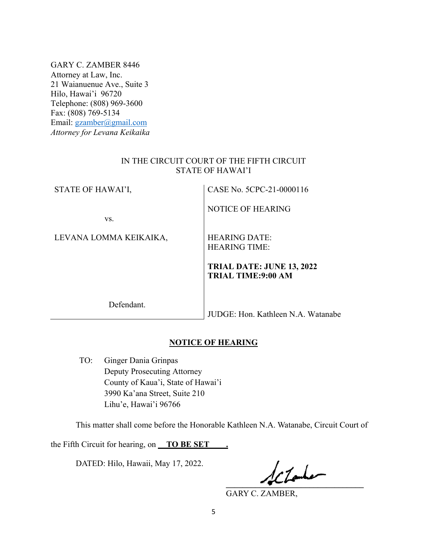GARY C. ZAMBER 8446 Attorney at Law, Inc. 21 Waianuenue Ave., Suite 3 Hilo, Hawai'i 96720 Telephone: (808) 969-3600 Fax: (808) 769-5134 Email: gzamber@gmail.com *Attorney for Levana Keikaika*

### IN THE CIRCUIT COURT OF THE FIFTH CIRCUIT STATE OF HAWAI'I

STATE OF HAWAI'I, CASE No. 5CPC-21-0000116

NOTICE OF HEARING

vs.

LEVANA LOMMA KEIKAIKA, HEARING DATE:

HEARING TIME:

**TRIAL DATE: JUNE 13, 2022 TRIAL TIME:9:00 AM** 

Defendant.

JUDGE: Hon. Kathleen N.A. Watanabe

# **NOTICE OF HEARING**

TO: Ginger Dania Grinpas Deputy Prosecuting Attorney County of Kaua'i, State of Hawai'i 3990 Ka'ana Street, Suite 210 Lihu'e, Hawai'i 96766

This matter shall come before the Honorable Kathleen N.A. Watanabe, Circuit Court of

the Fifth Circuit for hearing, on **\_\_TO BE SET\_\_\_\_.**

DATED: Hilo, Hawaii, May 17, 2022.

 $\frac{1}{2}$ 

GARY C. ZAMBER,